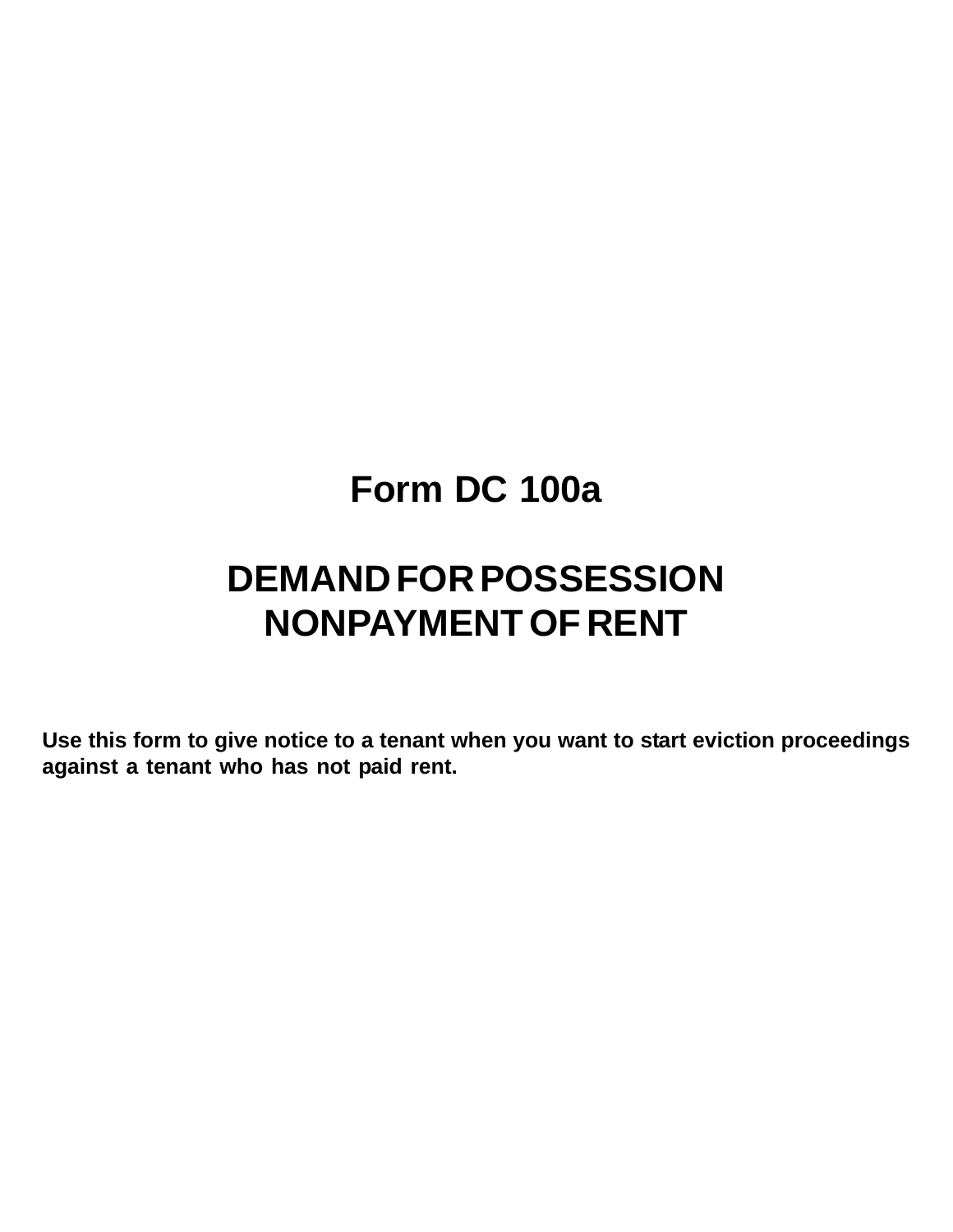# **Form DC 100a**

# **DEMAND FOR POSSESSION NONPAYMENT OF RENT**

**Use this form to give notice to a tenant when you want to start eviction proceedings against a tenant who has not paid rent.**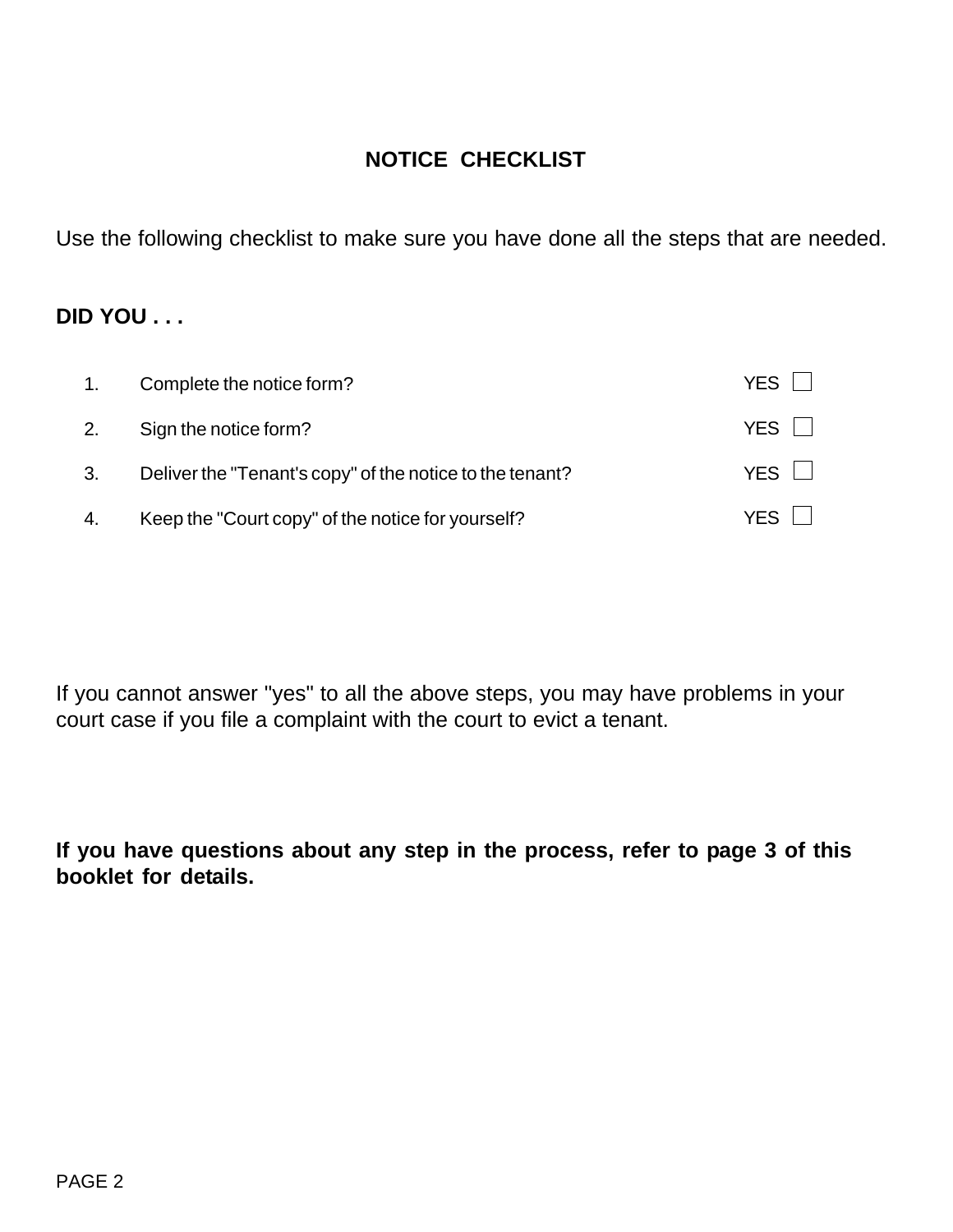# **NOTICE CHECKLIST**

Use the following checklist to make sure you have done all the steps that are needed.

# **DID YOU . . .**

| 1. | Complete the notice form?                                | <b>YES</b> |
|----|----------------------------------------------------------|------------|
| 2. | Sign the notice form?                                    | YES II     |
| 3. | Deliver the "Tenant's copy" of the notice to the tenant? | YES II     |
| 4. | Keep the "Court copy" of the notice for yourself?        | YFS.       |

If you cannot answer "yes" to all the above steps, you may have problems in your court case if you file a complaint with the court to evict a tenant.

**If you have questions about any step in the process, refer to page 3 of this booklet for details.**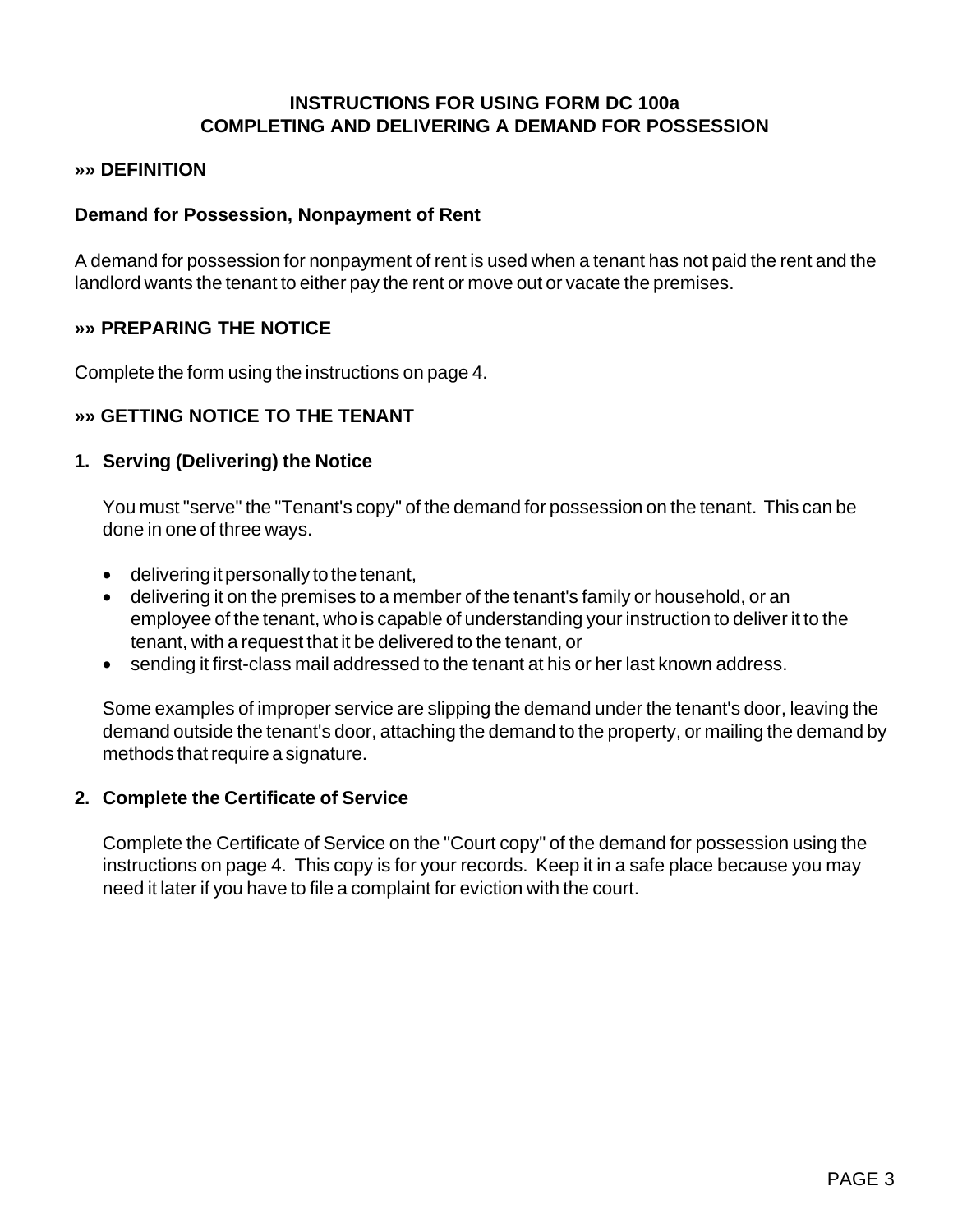## **INSTRUCTIONS FOR USING FORM DC 100a COMPLETING AND DELIVERING A DEMAND FOR POSSESSION**

#### **»» DEFINITION**

#### **Demand for Possession, Nonpayment of Rent**

A demand for possession for nonpayment of rent is used when a tenant has not paid the rent and the landlord wants the tenant to either pay the rent or move out or vacate the premises.

#### **»» PREPARING THE NOTICE**

Complete the form using the instructions on page 4.

#### **»» GETTING NOTICE TO THE TENANT**

#### **1. Serving (Delivering) the Notice**

You must "serve" the "Tenant's copy" of the demand for possession on the tenant. This can be done in one of three ways.

- delivering it personally to the tenant,
- delivering it on the premises to a member of the tenant's family or household, or an employee of the tenant, who is capable of understanding your instruction to deliver it to the tenant, with a request that it be delivered to the tenant, or
- sending it first-class mail addressed to the tenant at his or her last known address.

Some examples of improper service are slipping the demand under the tenant's door, leaving the demand outside the tenant's door, attaching the demand to the property, or mailing the demand by methods that require a signature.

#### **2. Complete the Certificate of Service**

Complete the Certificate of Service on the "Court copy" of the demand for possession using the instructions on page 4. This copy is for your records. Keep it in a safe place because you may need it later if you have to file a complaint for eviction with the court.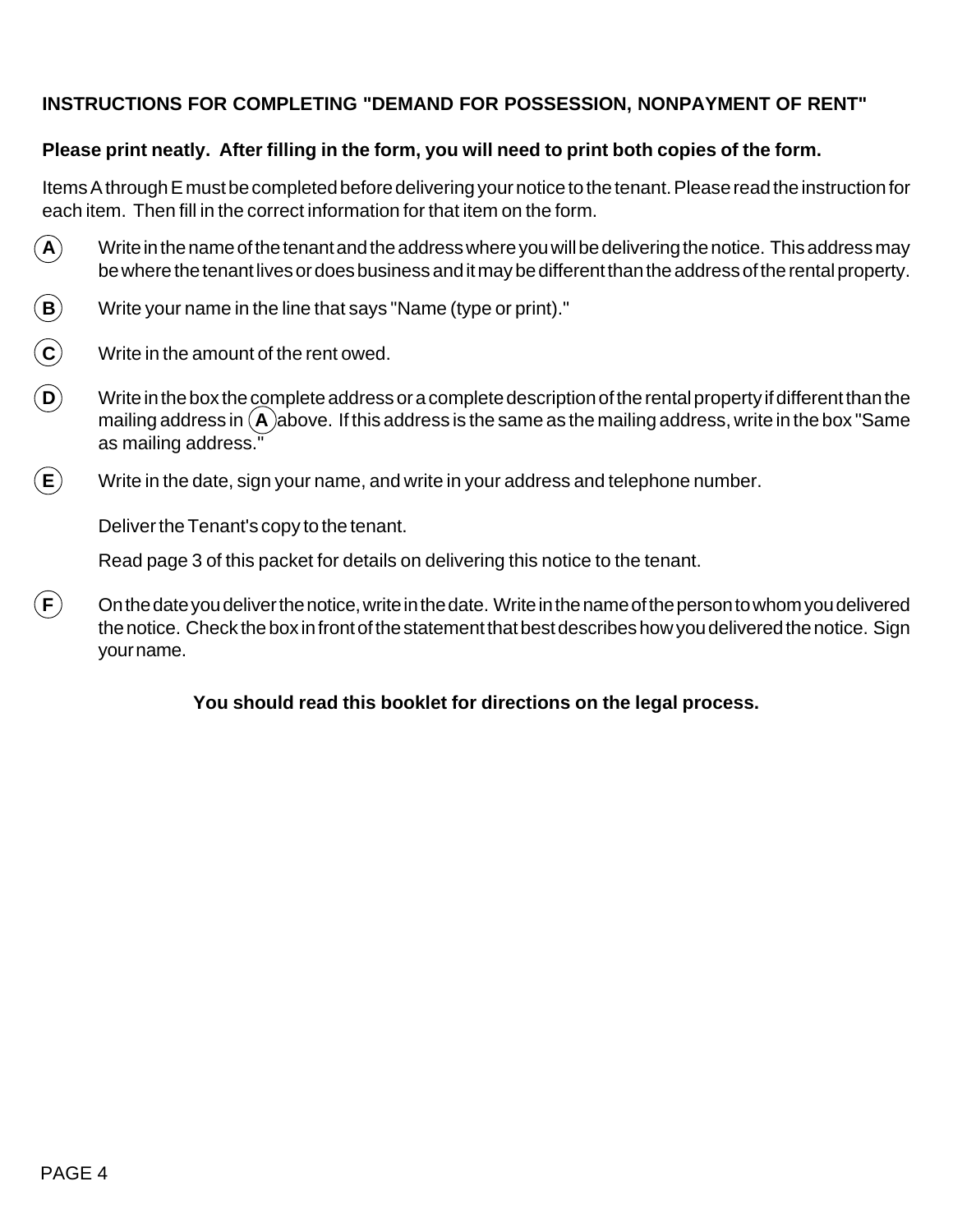## **INSTRUCTIONS FOR COMPLETING "DEMAND FOR POSSESSION, NONPAYMENT OF RENT"**

## **Please print neatly. After filling in the form, you will need to print both copies of the form.**

Items A through E must be completed before delivering your notice to the tenant. Please read the instruction for each item. Then fill in the correct information for that item on the form.

- $\bf{(A)}$  Write in the name of the tenant and the address where you will be delivering the notice. This address may be where the tenant lives or does business and it may be different than the address of the rental property.
- $\bf (B)$  Write your name in the line that says "Name (type or print)."
- **C** Write in the amount of the rent owed.
- **D** Write in the box the complete address or a complete description of the rental property if different than the mailing address in  $(A)$ above. If this address is the same as the mailing address, write in the box "Same" as mailing address."
- $\mathsf{E} \setminus \mathsf{W}$ rite in the date, sign your name, and write in your address and telephone number.

Deliver the Tenant's copy to the tenant.

Read page 3 of this packet for details on delivering this notice to the tenant.

 $\mathsf{F})$  On the date you deliver the notice, write in the date. Write in the name of the person to whom you delivered the notice. Check the box in front of the statement that best describes how you delivered the notice. Sign your name.

#### **You should read this booklet for directions on the legal process.**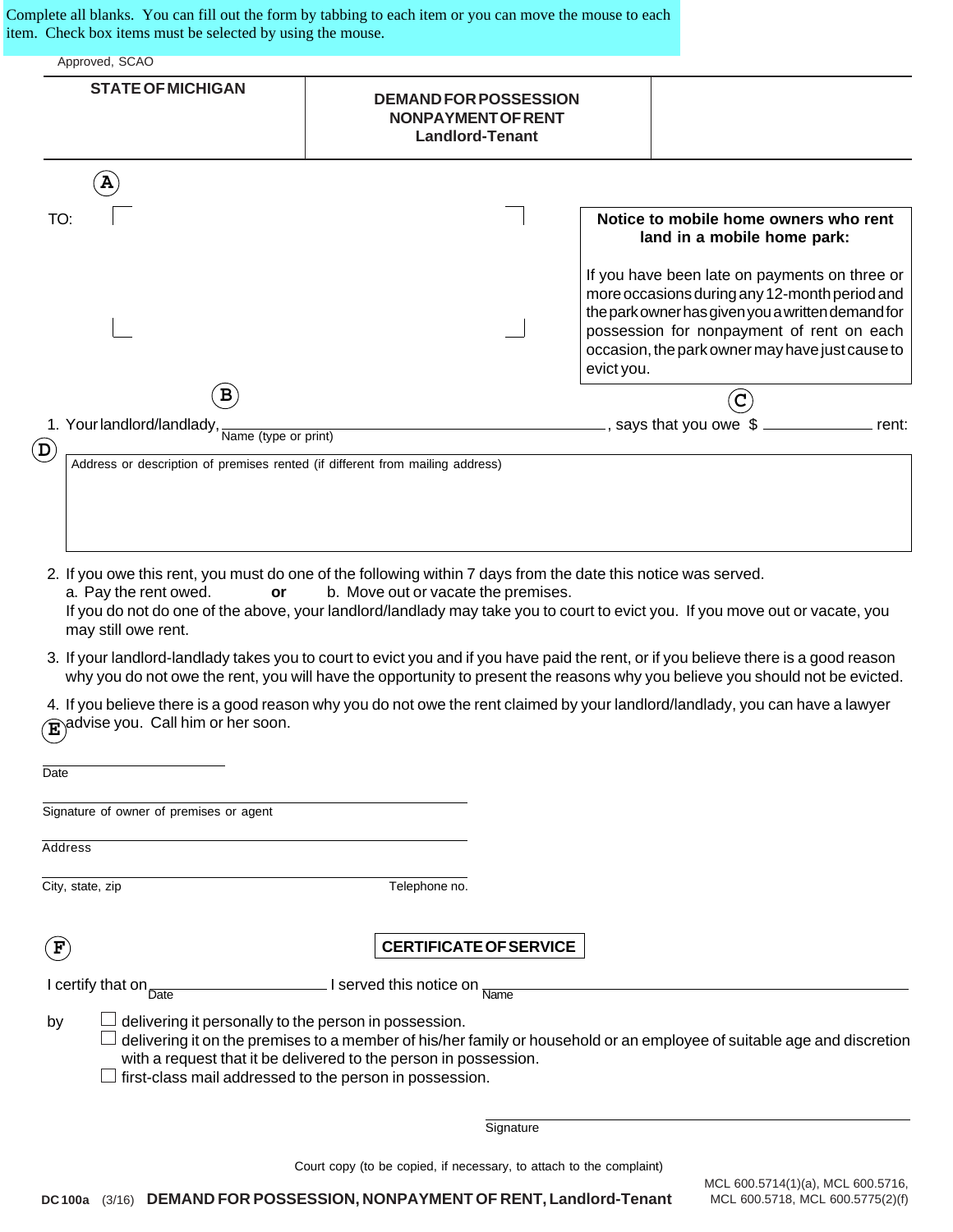Complete all blanks. You can fill out the form by tabbing to each item or you can move the mouse to each item. Check box items must be selected by using the mouse.

| Approved, SCAO<br><b>STATE OF MICHIGAN</b>                                    | <b>DEMAND FOR POSSESSION</b><br><b>NONPAYMENT OF RENT</b><br><b>Landlord-Tenant</b> |                                                                                                                                                                                                                                                     |
|-------------------------------------------------------------------------------|-------------------------------------------------------------------------------------|-----------------------------------------------------------------------------------------------------------------------------------------------------------------------------------------------------------------------------------------------------|
| $\mathbf{A}$                                                                  |                                                                                     |                                                                                                                                                                                                                                                     |
| TO:                                                                           |                                                                                     | Notice to mobile home owners who rent<br>land in a mobile home park:                                                                                                                                                                                |
|                                                                               | evict you.                                                                          | If you have been late on payments on three or<br>more occasions during any 12-month period and<br>the park owner has given you a written demand for<br>possession for nonpayment of rent on each<br>occasion, the park owner may have just cause to |
| $\mathbf{B}$                                                                  |                                                                                     | C                                                                                                                                                                                                                                                   |
| 1. Your landlord/landlady, Name (type or print)<br>$\mathbf D$                |                                                                                     | says that you owe \$<br>rent:                                                                                                                                                                                                                       |
| Address or description of premises rented (if different from mailing address) |                                                                                     |                                                                                                                                                                                                                                                     |

- 2. If you owe this rent, you must do one of the following within 7 days from the date this notice was served. a. Pay the rent owed. **or** b. Move out or vacate the premises. If you do not do one of the above, your landlord/landlady may take you to court to evict you. If you move out or vacate, you may still owe rent.
- 3. If your landlord-landlady takes you to court to evict you and if you have paid the rent, or if you believe there is a good reason why you do not owe the rent, you will have the opportunity to present the reasons why you believe you should not be evicted.

4. If you believe there is a good reason why you do not owe the rent claimed by your landlord/landlady, you can have a lawyer  $\mathbf{\widehat{E}}$  advise you. Call him or her soon.

| Date                                                                                                                                                                                                                                                                                                                 |                       |                               |  |  |
|----------------------------------------------------------------------------------------------------------------------------------------------------------------------------------------------------------------------------------------------------------------------------------------------------------------------|-----------------------|-------------------------------|--|--|
| Signature of owner of premises or agent                                                                                                                                                                                                                                                                              |                       |                               |  |  |
| Address                                                                                                                                                                                                                                                                                                              |                       |                               |  |  |
| City, state, zip                                                                                                                                                                                                                                                                                                     | Telephone no.         |                               |  |  |
| F                                                                                                                                                                                                                                                                                                                    |                       | <b>CERTIFICATE OF SERVICE</b> |  |  |
| I certify that on<br>Date                                                                                                                                                                                                                                                                                            | served this notice on | Name                          |  |  |
| delivering it personally to the person in possession.<br>by<br>delivering it on the premises to a member of his/her family or household or an employee of suitable age and discretion<br>with a request that it be delivered to the person in possession.<br>first-class mail addressed to the person in possession. |                       |                               |  |  |
|                                                                                                                                                                                                                                                                                                                      |                       | Signature                     |  |  |
|                                                                                                                                                                                                                                                                                                                      |                       |                               |  |  |

Court copy (to be copied, if necessary, to attach to the complaint)